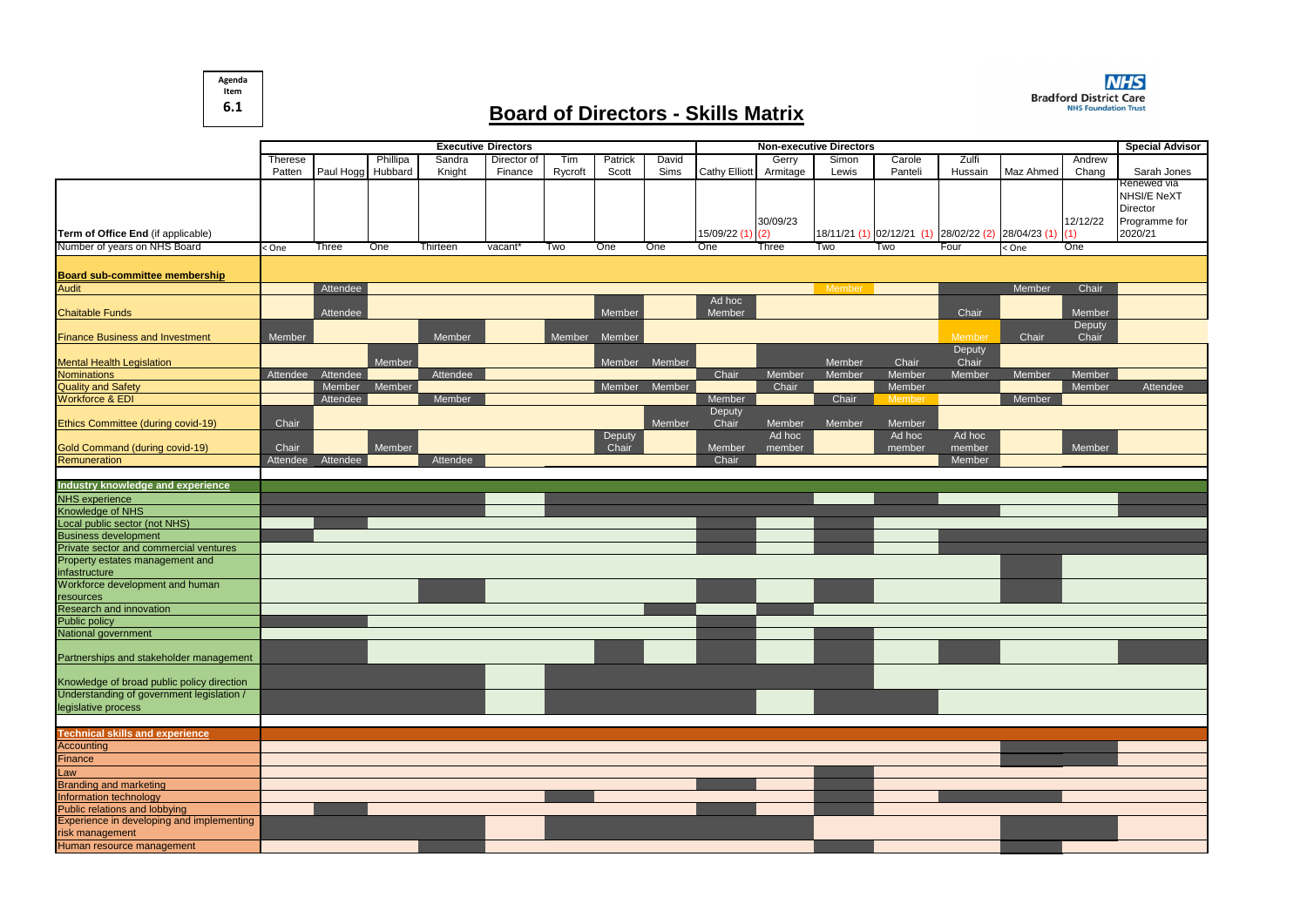## **Board of Directors - Skills Matrix**

|                                            | <b>Executive Directors</b> |                   |          |          |             |         |         | <b>Non-executive Directors</b> |                      |          |        |                                                     |         | <b>Special Advisor</b> |          |                    |
|--------------------------------------------|----------------------------|-------------------|----------|----------|-------------|---------|---------|--------------------------------|----------------------|----------|--------|-----------------------------------------------------|---------|------------------------|----------|--------------------|
|                                            | <b>Therese</b>             |                   | Phillipa | Sandra   | Director of | Tim     | Patrick | David                          |                      | Gerry    | Simon  | Carole                                              | Zulfi   |                        | Andrew   |                    |
|                                            | Patten                     | Paul Hogg Hubbard |          | Knight   | Finance     | Rycroft | Scott   | Sims                           | <b>Cathy Elliott</b> | Armitage | Lewis  | Panteli                                             | Hussain | Maz Ahmed              | Chang    | Sarah Jones        |
|                                            |                            |                   |          |          |             |         |         |                                |                      |          |        |                                                     |         |                        |          | Renewed via        |
|                                            |                            |                   |          |          |             |         |         |                                |                      |          |        |                                                     |         |                        |          | <b>NHSI/E NeXT</b> |
|                                            |                            |                   |          |          |             |         |         |                                |                      |          |        |                                                     |         |                        |          | Director           |
|                                            |                            |                   |          |          |             |         |         |                                |                      | 30/09/23 |        |                                                     |         |                        | 12/12/22 | Programme for      |
| Term of Office End (if applicable)         |                            |                   |          |          |             |         |         |                                | 15/09/22 (1) (2)     |          |        | 18/11/21 (1) 02/12/21 (1) 28/02/22 (2) 28/04/23 (1) |         |                        |          | 2020/21            |
| Number of years on NHS Board               | < One                      | Three             | One      | Thirteen | vacant'     | Two     | One     | One                            | One                  | Three    | Two    | Two                                                 | Four    | < One                  | One      |                    |
|                                            |                            |                   |          |          |             |         |         |                                |                      |          |        |                                                     |         |                        |          |                    |
| <b>Board sub-committee membership</b>      |                            |                   |          |          |             |         |         |                                |                      |          |        |                                                     |         |                        |          |                    |
| <b>Audit</b>                               |                            | Attendee          |          |          |             |         |         |                                |                      |          | Member |                                                     |         | Member                 | Chair    |                    |
|                                            |                            |                   |          |          |             |         |         |                                | Ad hoc               |          |        |                                                     | Chair   |                        | Member   |                    |
| <b>Chaitable Funds</b>                     |                            | Attendee          |          |          |             |         | Member  |                                | Member               |          |        |                                                     |         |                        | Deputy   |                    |
| <b>Finance Business and Investment</b>     | Member                     |                   |          | Member   |             | Member  | Member  |                                |                      |          |        |                                                     | Membe   | Chair                  | Chair    |                    |
|                                            |                            |                   |          |          |             |         |         |                                |                      |          |        |                                                     | Deputy  |                        |          |                    |
| <b>Mental Health Legislation</b>           |                            |                   | Member   |          |             |         | Member  | Member                         |                      |          | Member | Chair                                               | Chair   |                        |          |                    |
| <b>Nominations</b>                         | Attendee                   | Attendee          |          | Attendee |             |         |         |                                | Chair                | Member   | Member | Member                                              | Member  | Member                 | Member   |                    |
| <b>Quality and Safety</b>                  |                            | Member            | Member   |          |             |         | Member  | Member                         |                      | Chair    |        | Member                                              |         |                        | Member   | Attendee           |
| Workforce & EDI                            |                            | Attendee          |          | Member   |             |         |         |                                | Member               |          | Chair  | Member                                              |         | Member                 |          |                    |
|                                            |                            |                   |          |          |             |         |         |                                | Deputy               |          |        |                                                     |         |                        |          |                    |
| Ethics Committee (during covid-19)         | Chair                      |                   |          |          |             |         |         | Member                         | Chair                | Member   | Member | Member                                              |         |                        |          |                    |
|                                            |                            |                   |          |          |             |         | Deputy  |                                |                      | Ad hoc   |        | Ad hoc                                              | Ad hoc  |                        |          |                    |
| Gold Command (during covid-19)             | Chair                      |                   | Member   |          |             |         | Chair   |                                | Member               | member   |        | member                                              | member  |                        | Member   |                    |
| Remuneration                               | Attendee                   | Attendee          |          | Attendee |             |         |         |                                | Chair                |          |        |                                                     | Member  |                        |          |                    |
|                                            |                            |                   |          |          |             |         |         |                                |                      |          |        |                                                     |         |                        |          |                    |
| Industry knowledge and experience          |                            |                   |          |          |             |         |         |                                |                      |          |        |                                                     |         |                        |          |                    |
| <b>NHS</b> experience<br>Knowledge of NHS  |                            |                   |          |          |             |         |         |                                |                      |          |        |                                                     |         |                        |          |                    |
| Local public sector (not NHS)              |                            |                   |          |          |             |         |         |                                |                      |          |        |                                                     |         |                        |          |                    |
| <b>Business development</b>                |                            |                   |          |          |             |         |         |                                |                      |          |        |                                                     |         |                        |          |                    |
| Private sector and commercial ventures     |                            |                   |          |          |             |         |         |                                |                      |          |        |                                                     |         |                        |          |                    |
| Property estates management and            |                            |                   |          |          |             |         |         |                                |                      |          |        |                                                     |         |                        |          |                    |
| infastructure                              |                            |                   |          |          |             |         |         |                                |                      |          |        |                                                     |         |                        |          |                    |
| Workforce development and human            |                            |                   |          |          |             |         |         |                                |                      |          |        |                                                     |         |                        |          |                    |
| resources                                  |                            |                   |          |          |             |         |         |                                |                      |          |        |                                                     |         |                        |          |                    |
| Research and innovation                    |                            |                   |          |          |             |         |         |                                |                      |          |        |                                                     |         |                        |          |                    |
| <b>Public policy</b>                       |                            |                   |          |          |             |         |         |                                |                      |          |        |                                                     |         |                        |          |                    |
| National government                        |                            |                   |          |          |             |         |         |                                |                      |          |        |                                                     |         |                        |          |                    |
|                                            |                            |                   |          |          |             |         |         |                                |                      |          |        |                                                     |         |                        |          |                    |
| Partnerships and stakeholder management    |                            |                   |          |          |             |         |         |                                |                      |          |        |                                                     |         |                        |          |                    |
| Knowledge of broad public policy direction |                            |                   |          |          |             |         |         |                                |                      |          |        |                                                     |         |                        |          |                    |
| Understanding of government legislation /  |                            |                   |          |          |             |         |         |                                |                      |          |        |                                                     |         |                        |          |                    |
| legislative process                        |                            |                   |          |          |             |         |         |                                |                      |          |        |                                                     |         |                        |          |                    |
|                                            |                            |                   |          |          |             |         |         |                                |                      |          |        |                                                     |         |                        |          |                    |
| <b>Technical skills and experience</b>     |                            |                   |          |          |             |         |         |                                |                      |          |        |                                                     |         |                        |          |                    |
| <b>Accounting</b>                          |                            |                   |          |          |             |         |         |                                |                      |          |        |                                                     |         |                        |          |                    |
| Finance                                    |                            |                   |          |          |             |         |         |                                |                      |          |        |                                                     |         |                        |          |                    |
| Law                                        |                            |                   |          |          |             |         |         |                                |                      |          |        |                                                     |         |                        |          |                    |
| <b>Branding and marketing</b>              |                            |                   |          |          |             |         |         |                                |                      |          |        |                                                     |         |                        |          |                    |
| Information technology                     |                            |                   |          |          |             |         |         |                                |                      |          |        |                                                     |         |                        |          |                    |
| Public relations and lobbying              |                            |                   |          |          |             |         |         |                                |                      |          |        |                                                     |         |                        |          |                    |
| Experience in developing and implementing  |                            |                   |          |          |             |         |         |                                |                      |          |        |                                                     |         |                        |          |                    |
| risk management                            |                            |                   |          |          |             |         |         |                                |                      |          |        |                                                     |         |                        |          |                    |
| Human resource management                  |                            |                   |          |          |             |         |         |                                |                      |          |        |                                                     |         |                        |          |                    |



**Agenda Item 6.1**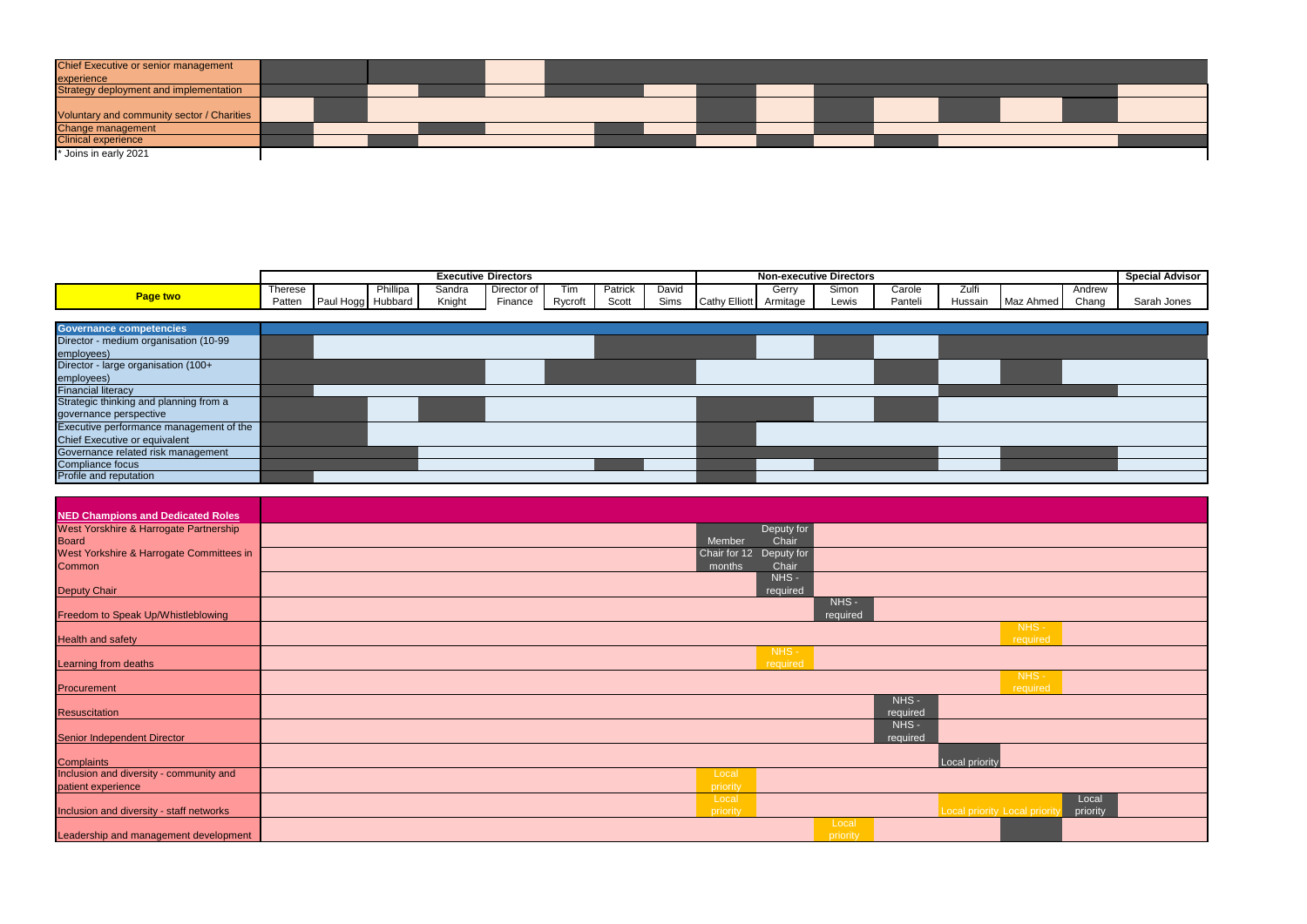| Chief Executive or senior management       |  |  |  |  |  |  |  |  |
|--------------------------------------------|--|--|--|--|--|--|--|--|
| experience                                 |  |  |  |  |  |  |  |  |
| Strategy deployment and implementation     |  |  |  |  |  |  |  |  |
|                                            |  |  |  |  |  |  |  |  |
| Voluntary and community sector / Charities |  |  |  |  |  |  |  |  |
| Change management                          |  |  |  |  |  |  |  |  |
| <b>Clinical experience</b>                 |  |  |  |  |  |  |  |  |
| * Joins in early 2021                      |  |  |  |  |  |  |  |  |

|                                         |                |                   |          |        | <b>Executive Directors</b> |         |         |       |                      |          | <b>Non-executive Directors</b> |         |         |           |        | <b>Special Advisor</b> |
|-----------------------------------------|----------------|-------------------|----------|--------|----------------------------|---------|---------|-------|----------------------|----------|--------------------------------|---------|---------|-----------|--------|------------------------|
|                                         | <b>Therese</b> |                   | Phillipa | Sandra | Director of                | Tim     | Patrick | David |                      | Gerry    | Simon                          | Carole  | ∠ulti   |           | Andrew |                        |
| <b>Page two</b>                         | Patten         | Paul Hogg Hubbard |          | Knight | Finance                    | Rycroft | Scott   | Sims  | <b>Cathy Elliott</b> | Armitage | Lewis                          | Panteli | Hussain | Maz Ahmed | Chang  | Sarah Jones            |
|                                         |                |                   |          |        |                            |         |         |       |                      |          |                                |         |         |           |        |                        |
| <b>Governance competencies</b>          |                |                   |          |        |                            |         |         |       |                      |          |                                |         |         |           |        |                        |
| Director - medium organisation (10-99   |                |                   |          |        |                            |         |         |       |                      |          |                                |         |         |           |        |                        |
| employees)                              |                |                   |          |        |                            |         |         |       |                      |          |                                |         |         |           |        |                        |
| Director - large organisation (100+     |                |                   |          |        |                            |         |         |       |                      |          |                                |         |         |           |        |                        |
| employees)                              |                |                   |          |        |                            |         |         |       |                      |          |                                |         |         |           |        |                        |
| <b>Financial literacy</b>               |                |                   |          |        |                            |         |         |       |                      |          |                                |         |         |           |        |                        |
| Strategic thinking and planning from a  |                |                   |          |        |                            |         |         |       |                      |          |                                |         |         |           |        |                        |
| governance perspective                  |                |                   |          |        |                            |         |         |       |                      |          |                                |         |         |           |        |                        |
| Executive performance management of the |                |                   |          |        |                            |         |         |       |                      |          |                                |         |         |           |        |                        |
| Chief Executive or equivalent           |                |                   |          |        |                            |         |         |       |                      |          |                                |         |         |           |        |                        |
| Governance related risk management      |                |                   |          |        |                            |         |         |       |                      |          |                                |         |         |           |        |                        |
| Compliance focus                        |                |                   |          |        |                            |         |         |       |                      |          |                                |         |         |           |        |                        |
| Profile and reputation                  |                |                   |          |        |                            |         |         |       |                      |          |                                |         |         |           |        |                        |

| <b>NED Champions and Dedicated Roles</b> |                            |                               |
|------------------------------------------|----------------------------|-------------------------------|
| West Yorskhire & Harrogate Partnership   | Deputy for                 |                               |
| <b>Board</b>                             | Chair<br>Member            |                               |
| West Yorkshire & Harrogate Committees in | Chair for 12<br>Deputy for |                               |
| Common                                   | Chair<br>months            |                               |
| <b>Deputy Chair</b>                      | NHS-<br>required           |                               |
|                                          | NHS-                       |                               |
| Freedom to Speak Up/Whistleblowing       | required                   |                               |
|                                          |                            | $NHS -$                       |
| <b>Health and safety</b>                 |                            | required                      |
| Learning from deaths                     | NHS-<br>required           |                               |
|                                          |                            | $NHS -$                       |
| Procurement                              |                            | required                      |
| <b>Resuscitation</b>                     | NHS -<br>required          |                               |
|                                          | NHS -                      |                               |
| Senior Independent Director              | required                   |                               |
| <b>Complaints</b>                        |                            | Local priority                |
| Inclusion and diversity - community and  | Local                      |                               |
| patient experience                       | priority                   |                               |
|                                          | Local                      |                               |
| Inclusion and diversity - staff networks | priority                   | Local priority Local priority |
|                                          | Local                      |                               |
| Leadership and management development    | priority                   |                               |

|     | NHS -<br>required  |                   |  |
|-----|--------------------|-------------------|--|
|     |                    |                   |  |
|     | NHS -<br>required  |                   |  |
|     |                    |                   |  |
|     |                    |                   |  |
| ity |                    |                   |  |
|     |                    |                   |  |
|     | ity Local priority | Local<br>priority |  |
|     |                    |                   |  |